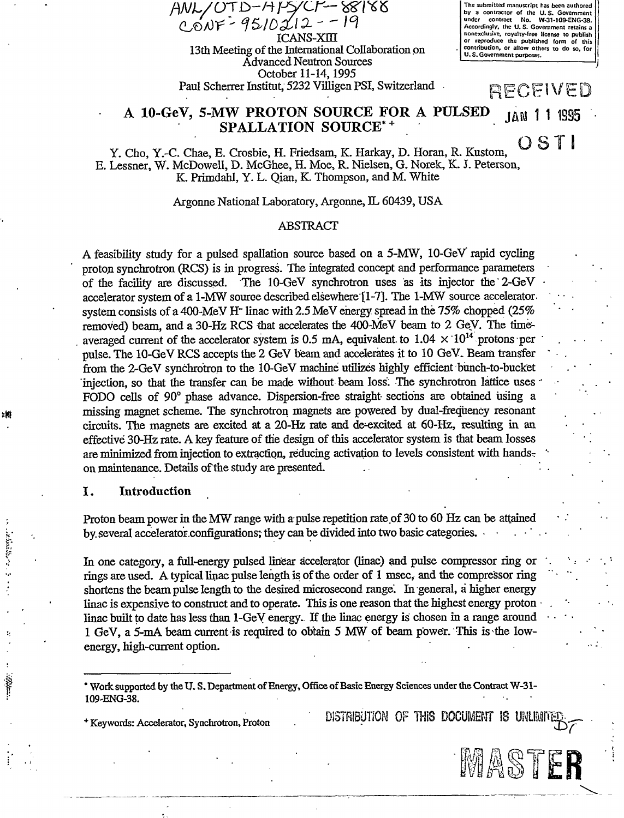$AWL/OTD-HPYCF-88188$  $C_0$ NF - 95/02/2 - - 19 13th Meeting of the International Collaboration on Advanced Neutron Sources October 11-14,1995 Paul Scherrer Institut, 5232 Villigen PSI, Switzerland **The submitted man by a contractor of the U.S. Government under contract No. W-31-109-ENG-38. Accordingly, the U. S. Government retains a nonexclusive, royalty-free license to publish or reproduce the published form of this contribution, or allow others to do so, for U. S. Government purposes.** 

RECEIVED

# A 10-GeV, 5-MW PROTON SOURCE FOR A PULSED 1AN 1 1 1995 SPALLATION SOURCE\*<sup>+</sup>

OSTI Y. Cho, Y.-C. Chae, E. Crosbie, H. Friedsam, K. Harkay, D. Horan, R. Kustom, E. Lessner, W. McDowell, D. McGhee, H. Moe, R. Nielsen, G. Norek, K. J. Peterson, K. Primdahl, Y. L. Qian, K. Thompson, and M. White

Argonne National Laboratory, Argonne, IL 60439, USA

### ABSTRACT

A feasibility study for a pulsed spallation source based on a 5-MW, 10-GeV rapid cycling proton synchrotron (RCS) is in progress. The integrated concept and performance parameters of the facility are discussed. The 10-GeV synchrotron uses as its injector the'2-GeV • accelerator system of a 1-MW source described elsewhere [1-7]. The 1-MW source acceleratorsystem consists of a 400-MeV H" linac with 2.5 MeV energy spread in the 75% chopped (25% removed) beam, and a 30-Hz RCS that accelerates the 400-MeV beam to 2 Gey. The timeaveraged current of the accelerator system is 0.5 mA, equivalent to 1.04  $\times$  10<sup>14</sup> protons per pulse. The 10-GeV RCS accepts the 2 GeV beam and accelerates it to 10 GeV. Beam transfer from the 2-GeV synchrotron to the 10-GeV machine utilizes highly efficient bunch-to-bucket injection, so that the transfer can be made without beam loss. The synchrotron lattice uses FODO cells of 90° phase advance. Dispersion-free straight sections are obtained using a missing magnet scheme. The synchrotron magnets are powered by dual-frequency resonant circuits. The magnets are excited at a 20-Hz rate and de^excited at 60-Hz, resulting in an effective 30-Hz rate. A key feature of the design of this accelerator system is that beam losses are minimized from injection to extraction, reducing activation to levels consistent with handson maintenance. Details of the study are presented.

## I. Introduction

Proton beam power in the MW range with a pulse repetition rate of 30 to 60 Hz can be attained by. several accelerator .configurations; they can be divided into two basic categories. - •

In one category, a full-energy pulsed linear accelerator (linac) and pulse compressor ring or rings are used. A typical linac pulse length is of the order of 1 msec, and the compressor ring shortens the beam pulse length to the desired microsecond range. In general, a higher energy linac is expensive to construct and to operate. This is one reason that the highest energy proton  $\cdot$ linac built to date has less than 1-GeV energy.. If the linac energy is chosen in a range around 1 GeV, a 5-mA beam current is required to obtain 5 MW of beam power. This is the lowenergy, high-current option.

\* Work supported by the U. S. Department of Energy, Office of Basic Energy Sciences under the Contract W-31- 109-ENG-38.

 $^+$  Keywords: Accelerator, Synchrotron, Proton **DISTRIBUTION OF THIS DOCUMENT IS UNLIMITE** 

*r* 

MASTER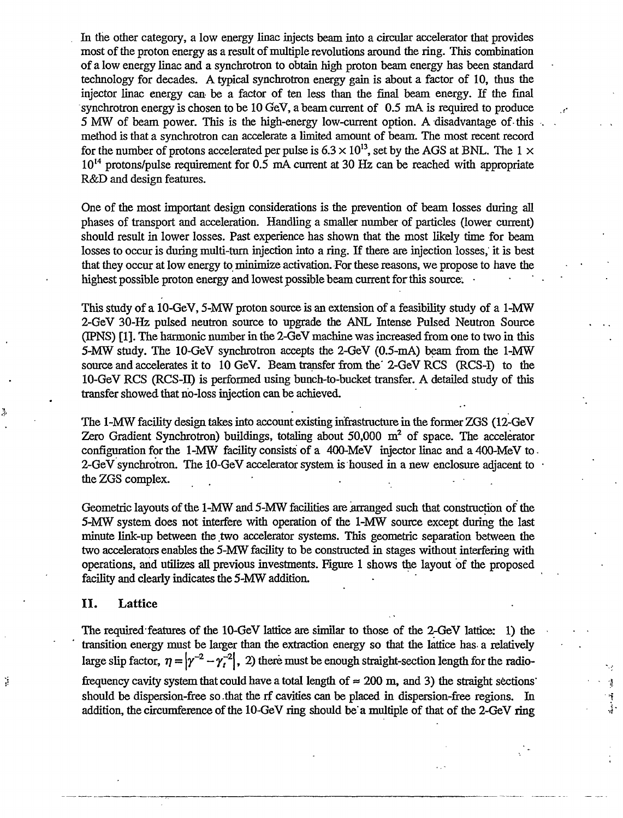In the other category, a low energy linac injects beam into a circular accelerator that provides most of the proton energy as a result of multiple revolutions around the ring. This combination of a low energy linac and a synchrotron to obtain high proton beam energy has been standard technology for decades. A typical synchrotron energy gain is about a factor of 10, thus the injector linac energy can be a factor of ten less than the final beam energy. If the final synchrotron energy is chosen to be 10 GeV, abeam current of 0.5 mA is required to produce 5 MW of beam power. This is the high-energy low-current option. A disadvantage of-this method is that a synchrotron can accelerate a limited amount of beam. The most recent record for the number of protons accelerated per pulse is  $6.3 \times 10^{13}$ , set by the AGS at BNL. The 1  $\times$  $10^{14}$  protons/pulse requirement for 0.5 mA current at 30 Hz can be reached with appropriate R&D and design features.

One of the most important design considerations is the prevention of beam losses during all phases of transport and acceleration. Handling a smaller number of particles (lower current) should result in lower losses. Past experience has shown that the most likely time for beam losses to occur is during multi-turn injection into a ring. If there are injection losses, it is best that they occur at low energy to minimize activation. For these reasons, we propose to have the highest possible proton energy and lowest possible beam current for this source.

This study of a 10-GeV, 5-MW proton source is an extension of a feasibility study of a 1-MW 2-GeV 30-Hz pulsed neutron source to upgrade the ANL Intense Pulsed Neutron Source (IPNS) [1]. The harmonic number in the 2-GeV machine was increased from one to two in this 5-MW study. The 10-GeV synchrotron accepts the 2-GeV (0.5-mA) beam from the 1-MW source and accelerates it to 10 GeV. Beam transfer from the' 2-GeV RCS (RCS-I) to the 10-GeV RCS (RCS-II) is performed using bunch-to-bucket transfer. A detailed study of this transfer showed that no-loss injection can be achieved.

The 1-MW facility design takes into account existing infrastructure in the former ZGS (12-GeV Zero Gradient Synchrotron) buildings, totaling about  $50,000$  m<sup>2</sup> of space. The accelerator configuration for the 1-MW facility consists of a 400-MeV injector linac and a 400-MeV to - 2-GeV synchrotron. The 10-GeV accelerator system is housed in a new enclosure adjacent to the ZGS complex.

Geometric layouts of the 1-MW and 5-MW facilities are arranged such that construction of the 5-MW system does not interfere with operation of the 1-MW source except during the last minute link-up between the two accelerator systems. This geometric separation between the two accelerators enables the 5-MW facility to be constructed in stages without interfering with operations, and utilizes all previous investments. Figure 1 shows the layout of the proposed facility and clearly indicates the 5-MW addition.

#### II. Lattice

Ý

The required features of the 10-GeV lattice are similar to those of the 2-GeV lattice: 1) the transition energy must be larger than the extraction energy so that the lattice has- a relatively large slip factor,  $\eta = |\gamma^{-2} - \gamma_t^{-2}|$ , 2) there must be enough straight-section length for the radiofrequency cavity system that could have a total length of  $\approx$  200 m, and 3) the straight sections should be dispersion-free so that the rf cavities can be placed in dispersion-free regions. In addition, the circumference of the 10-GeV ring should be'a multiple of that of the 2-GeV ring

÷, ŕ.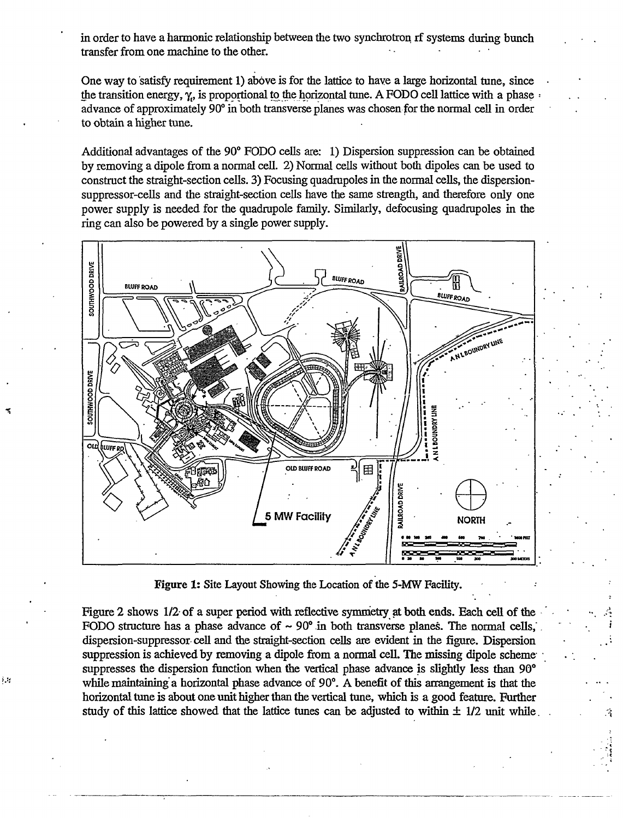in order to have a harmonic relationship between the two synchrotron rf systems during bunch transfer from one machine to the other.

One way to satisfy requirement 1) above is for the lattice to have a large horizontal tune, since the transition energy,  $\gamma_e$ , is proportional to the horizontal tune. A FODO cell lattice with a phase advance of approximately 90° in both transverse planes was chosen for the normal cell in order to obtain a higher tune.

Additional advantages of the 90° FODO cells are: 1) Dispersion suppression can be obtained by removing a dipole from a normal cell. 2) Normal cells without both dipoles can be used to construct the straight-section cells. 3) Focusing quadrupoles in the normal cells, the dispersionsuppressor-cells and the straight-section cells have the same strength, and therefore only one power supply is needed for the quadrupole family. Similarly, defocusing quadrupoles in the ring can also be powered by a single power supply.



Figure 1: Site Layout Showing the Location of the 5-MW Facility.

Figure 2 shows 1/2- of a super period with reflective symmetry at both ends. Each cell of the FODO structure has a phase advance of  $\sim 90^{\circ}$  in both transverse planes. The normal cells, dispersion-suppressor cell and the straight-section cells are evident in the figure. Dispersion suppression is achieved by removing a dipole from a normal cell. The missing dipole scheme suppresses the dispersion function when the vertical phase advance is slightly less than 90° while maintaining a horizontal phase advance of 90°. A benefit of this arrangement is that the horizontal tune is about one unit higher than the vertical tune, which is a good feature. Further study of this lattice showed that the lattice tunes can be adjusted to within  $\pm$  1/2 unit while.

ξŧ,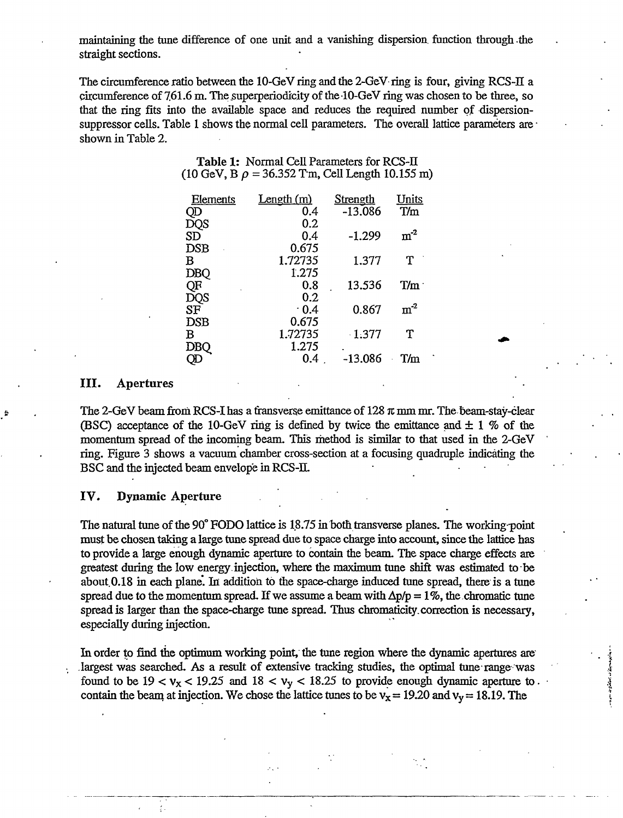maintaining the tune difference of one unit and a vanishing dispersion, function through the straight sections.

The circumference ratio between the 10-GeV ring and the 2-GeV ring is four, giving RCS-H a circumference of  $761.6$  m. The superperiodicity of the  $10$ -GeV ring was chosen to be three, so that the ring fits into the available space and reduces the required number of dispersionsuppressor cells. Table 1 shows the normal cell parameters. The overall lattice parameters are shown in Table 2.

| <b>Table 1:</b> Normal Cell Parameters for RCS-II                    |
|----------------------------------------------------------------------|
| $(10 \text{ GeV}, B \rho = 36.352 \text{ Tm},$ Cell Length 10.155 m) |
|                                                                      |

| <b>Elements</b> | <u>Length (m)</u> | <b>Strength</b> | <u>Units</u> |
|-----------------|-------------------|-----------------|--------------|
| QD              | 0.4               | $-13.086$       | T/m          |
| DQS             | 0.2               |                 |              |
| <b>SD</b>       | 0.4               | $-1.299$        | $m^{-2}$     |
| <b>DSB</b>      | 0.675             |                 |              |
| B               | 1.72735           | 1.377           | T            |
| <b>DBQ</b>      | 1.275             |                 |              |
| QF              | 0.8               | 13.536          | T/m          |
| DQS             | 0.2               |                 |              |
| ${\rm SF}$      | $\cdot$ 0.4       | 0.867           | $m-2$        |
| <b>DSB</b>      | 0.675             |                 |              |
| в               | 1.72735           | $-1.377$        | T            |
| <b>DBQ</b>      | 1.275             |                 |              |
|                 | 0.4               | $-13.086$       | T/m          |
|                 |                   |                 |              |

### **III.** Apertures

The 2-GeV beam from RCS-I has a transverse emittance of  $128 \pi$  mm mr. The beam-stay-clear (BSC) acceptance of the 10-GeV ring is defined by twice the emittance and  $\pm$  1 % of the momentum spread of the incoming beam. This method is similar to that used in the 2-GeV ring. Figure 3 shows a vacuum chamber cross-section at a focusing quadruple indicating the BSC and the injected beam envelope in RCS-II.

#### **IV. Dynamic Aperture**

 $\mathcal{L}_\mathrm{a}$ 

The natural tune of the 90° FODO lattice is 18.75 in both transverse planes. The working point must be chosen taking a large tune spread due to space charge into account, since the lattice has to provide a large enough dynamic aperture to contain the beam. The space charge effects are greatest during the low energy, injection, where the maximum tune shift was estimated to be about 0.18 in each plane. In addition to the space-charge induced tune spread, there is a tune spread due to the momentum spread. If we assume a beam with  $\Delta p/p = 1\%$ , the chromatic tune spread is larger than the space-charge tune spread. Thus chromaticity. correction is necessary, especially during injection.

In order to find the optimum working point, the tune region where the dynamic apertures are largest was searched. As a result of extensive tracking studies, the optimal tune range was found to be  $19 < v_x < 19.25$  and  $18 < v_y < 18.25$  to provide enough dynamic aperture to. contain the beam at injection. We chose the lattice tunes to be  $v_x = 19.20$  and  $v_y = 18.19$ . The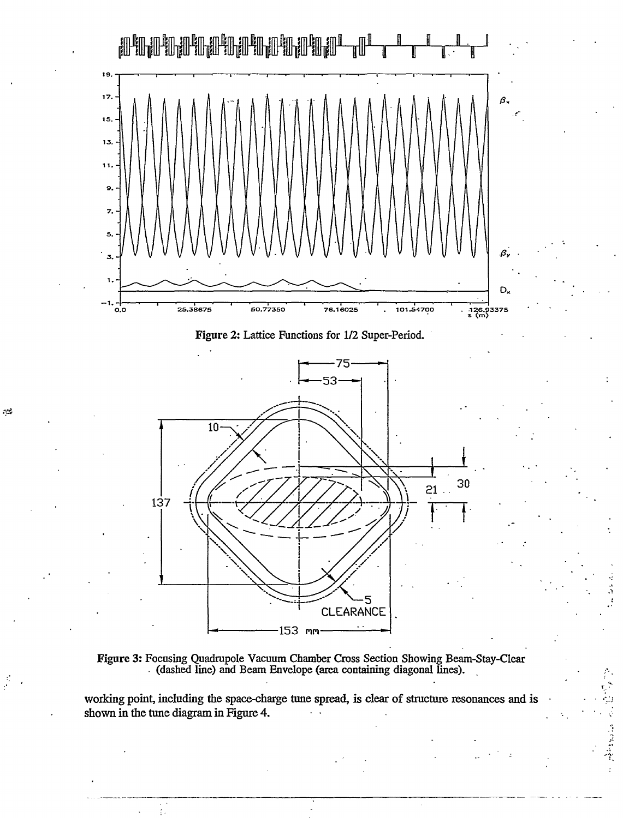

Figure 3: Focusing Quadrupole Vacuum Chamber Cross Section Showing Beam-Stay-Clear (dashed line) and Beam Envelope (area containing diagonal lines).

working point, including the space-charge tune spread, is clear of structure resonances and is shown in the tune diagram in Figure 4.

Ó

自由性的

بتناز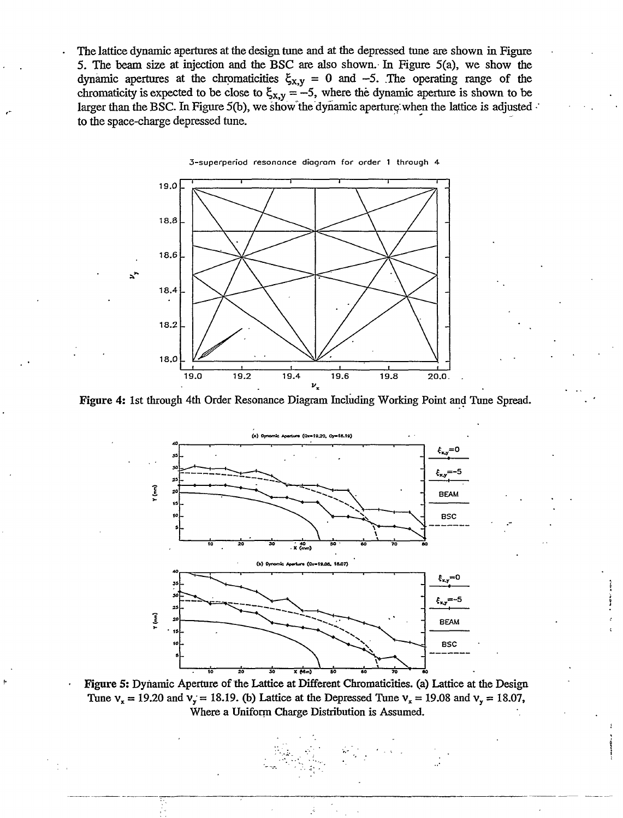The lattice dynamic apertures at the design tune and at the depressed tune are shown in Figure 5. The beam size at injection and the BSC are also shown. In Figure 5(a), we show the dynamic apertures at the chromaticities  $\xi_{x,y} = 0$  and  $-5$ . The operating range of the chromaticity is expected to be close to  $\xi_{x,y} = -5$ , where the dynamic aperture is shown to be larger than the BSC. In Figure 5(b), we show the dynamic aperture when the lattice is adjusted. to the space-charge depressed tune.



**Figure** 4: 1st through 4th Order Resonance Diagram Including Working Point and Tune Spread.



**Figure 5:** Dynamic Aperture of the Lattice at Different Chromaticities. (a) Lattice at the Design Tune  $v_x = 19.20$  and  $v_y = 18.19$ . (b) Lattice at the Depressed Tune  $v_x = 19.08$  and  $v_y = 18.07$ , Where a Uniform Charge Distribution is Assumed.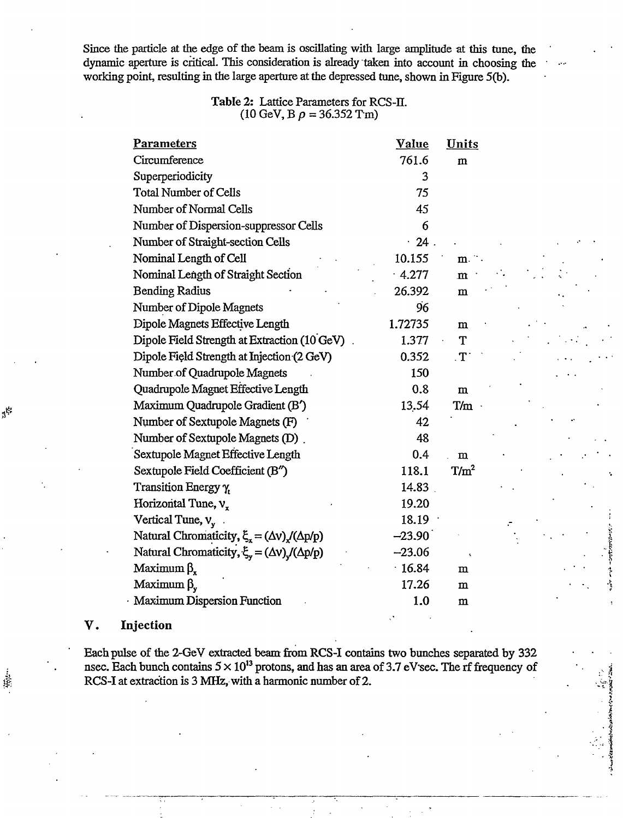Since the particle at the edge of the beam is oscillating with large amplitude at this tune, the dynamic aperture is critical. This consideration is already taken into account in choosing the working point, resulting in the large aperture at the depressed tune, shown in Figure 5(b).

### **Table** 2: Lattice Parameters for RCS-H (10 GeV, B  $\rho = 36.352$  Tm)

| <b>Parameters</b>                                              | <b>Value</b> | Units        |
|----------------------------------------------------------------|--------------|--------------|
| Circumference                                                  | 761.6        | $\mathbf{m}$ |
| Superperiodicity                                               | 3            |              |
| <b>Total Number of Cells</b>                                   | 75           |              |
| Number of Normal Cells                                         | 45           |              |
| Number of Dispersion-suppressor Cells                          | 6            |              |
| Number of Straight-section Cells                               | $\cdot$ 24.  |              |
| Nominal Length of Cell                                         | 10.155       | $m$ .        |
| Nominal Length of Straight Section                             | $-4.277$     | m            |
| <b>Bending Radius</b>                                          | 26.392       | m            |
| Number of Dipole Magnets                                       | 96           |              |
| Dipole Magnets Effective Length                                | 1.72735      | m            |
| Dipole Field Strength at Extraction (10 GeV)                   | 1.377        | T            |
| Dipole Field Strength at Injection (2 GeV)                     | 0.352        | $T$ .        |
| Number of Quadrupole Magnets                                   | 150          |              |
| Quadrupole Magnet Effective Length                             | 0.8          | m            |
| Maximum Quadrupole Gradient (B')                               | 13.54        | T/m          |
| Number of Sextupole Magnets (F)                                | 42           |              |
| Number of Sextupole Magnets (D).                               | 48           |              |
| Sextupole Magnet Effective Length                              | 0.4          | m            |
| Sextupole Field Coefficient (B")                               | 118.1        | $T/m^2$      |
| Transition Energy $\gamma_t$                                   | 14.83        |              |
| Horizontal Tune, $vr$                                          | 19.20        |              |
| Vertical Tune, $v_{y}$ .                                       | 18.19        |              |
| Natural Chromaticity, $\xi_x = (\Delta v) \chi (\Delta p/p)$   | $-23.90$     |              |
| Natural Chromaticity, $\xi_y = (\Delta v) \sqrt{(\Delta p/p)}$ | $-23.06$     |              |
| Maximum $βx$                                                   | $-16.84$     | $\mathbf m$  |
| Maximum $βv$                                                   | 17.26        | m            |
| <b>Maximum Dispersion Function</b>                             | 1.0          | $\mathbf{m}$ |
|                                                                |              |              |

## **V. Injection**

 $\beta^{\ell_\star}$ 

藿

Each pulse of the 2-GeV extracted beam from **RCS-I** contains two bunches separated by 332 nsec. Each bunch contains  $5 \times 10^{13}$  protons, and has an area of 3.7 eV sec. The rf frequency of RCS-I at extraction is 3 MHz, with a harmonic number of 2.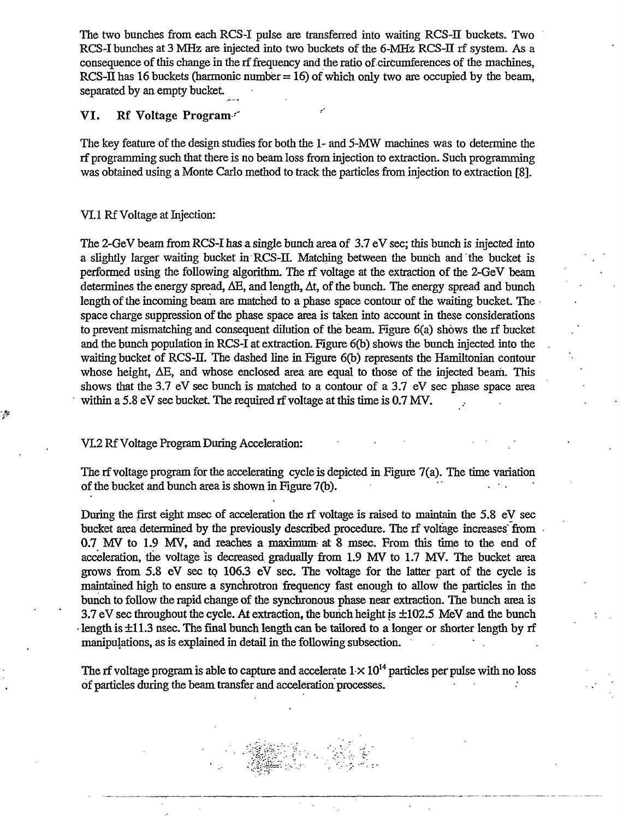The two bunches from each RCS-I pulse are transferred into waiting RCS-II buckets. Two RCS-I bunches at 3 MHz are injected into two buckets of the 6-MHz RCS-II rf system. As a consequence of this change in the rf frequency and the ratio of circumferences of the machines, RCS-II has 16 buckets (harmonic number  $= 16$ ) of which only two are occupied by the beam, separated by an empty bucket

## VI. Rf Voltage Program'"

The key feature of the design studies for both the 1- and 5-MW machines was to determine the rf programming such that there is no beam loss from injection to extraction. Such programming was obtained using a Monte Carlo method to track the particles from injection to extraction [8].

### VI.1 Rf Voltage at Injection:

g)

The 2-GeV beam from RCS-I has a single bunch area of 3.7 eV sec; this bunch is injected into a slightly larger waiting bucket in RCS-II. Matching between the bunch and the bucket is performed using the following algorithm. The rf voltage at the extraction of the 2-GeV beam determines the energy spread,  $\Delta E$ , and length,  $\Delta t$ , of the bunch. The energy spread and bunch length of the incoming beam are matched to a phase space contour of the waiting bucket. The space charge suppression of the phase space area is taken into account in these considerations to prevent mismatching and consequent dilution of the beam. Figure 6(a) shows the rf bucket and the bunch population in RCS-I at extraction. Figure 6(b) shows the bunch injected into the waiting bucket of RCS-IL The dashed line in Figure 6(b) represents the Hamiltonian contour whose height, AE, and whose enclosed area are equal to those of the injected beam. This shows that the 3.7 eV sec bunch is matched to a contour of a 3.7 eV sec phase space area within a 5.8 eV sec bucket. The required rf voltage at this time is 0.7 MV.

#### VL2 Rf Voltage Program During Acceleration:

The rf voltage program for the accelerating cycle is depicted in Figure 7(a). The time variation of the bucket and bunch area is shown in Figure 7(b).

During the first eight msec of acceleration the rf voltage is raised to maintain the 5.8 eV sec bucket area determined by the previously described procedure. The rf voltage increases from 0.7 MV to 1.9 MV, and reaches a maximum at 8 msec. From this time to the end of acceleration, the voltage is decreased gradually from 1.9 MV to 1.7 MV. The bucket area grows from 5.8 eV sec to 106.3 eV sec. The voltage for the latter part of the cycle is maintained high to ensure a synchrotron frequency fast enough to allow the particles in the bunch to follow the rapid change of the synchronous phase near extraction. The bunch area is 3.7 eV sec throughout the cycle. At extraction, the bunch height is ±102.5 MeV and the bunch • length is ±11.3 nsec. The final bunch length can be tailored to a longer or shorter length by rf manipulations, as is explained in detail in the following subsection.

The rf voltage program is able to capture and accelerate  $1 \times 10^{14}$  particles per pulse with no loss of particles during the beam transfer and acceleration processes.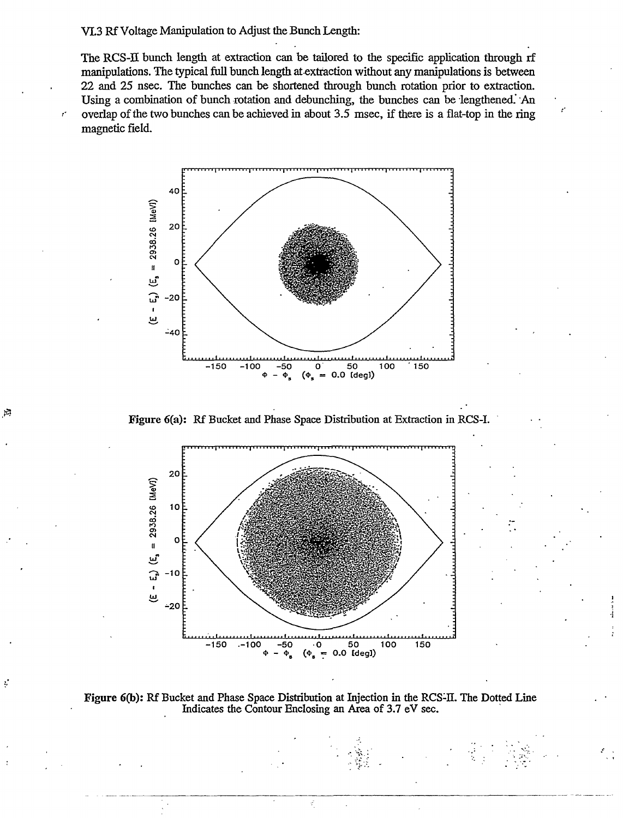#### VL3 Rf Voltage Manipulation to Adjust the Bunch Length:

 $\mathfrak{p}$ 

ţ.

The RCS-H bunch length at extraction can be tailored to the specific application through rf manipulations. The typical full bunch length at extraction without any manipulations is between 22 and 25 nsec. The bunches can be shortened through bunch rotation prior to extraction. Using a combination of bunch rotation and debunching, the bunches can be lengthened. An overlap of the two bunches can be achieved in about 3.5 msec, if there is a flat-top in the ring magnetic field.







Figure 6(b): Rf Bucket and Phase Space Distribution at Injection in the RCS-H. The Dotted Line Indicates the Contour Enclosing an Area of 3.7 eV sec.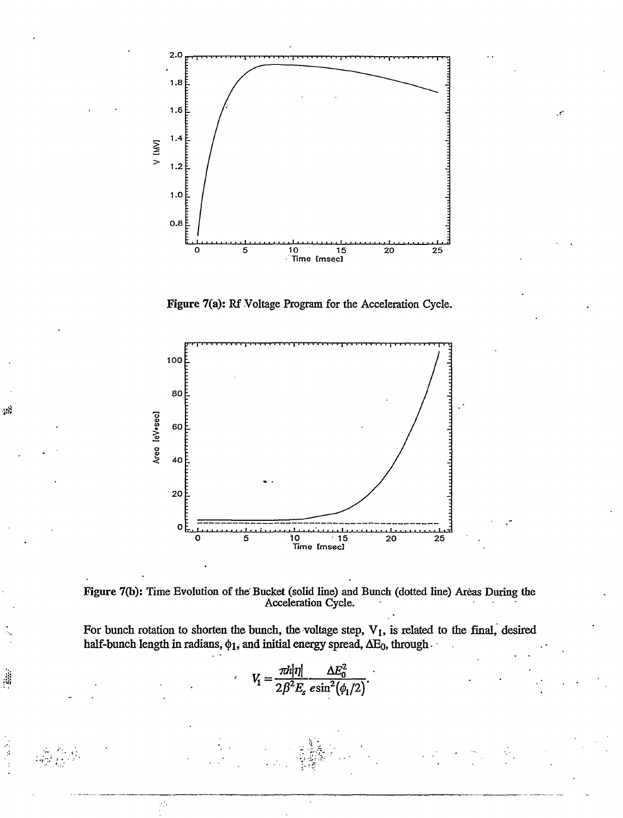

Figure 7(a): Rf Voltage Program for the Acceleration Cycle.



, 18

Figure 7(b): Time Evolution of the Bucket (solid line) and Bunch (dotted line) Areas During the Acceleration Cycle.

For bunch rotation to shorten the bunch, the voltage step,  $V_1$ , is related to the final, desired half-bunch length in radians,  $\phi_1$ , and initial energy spread,  $\Delta E_0$ , through  $\cdot$ 

$$
V_1 = \frac{\pi h |\eta|}{2\beta^2 E_s \, e \sin^2(\phi_1/2)}.
$$

 $\mathcal{F}$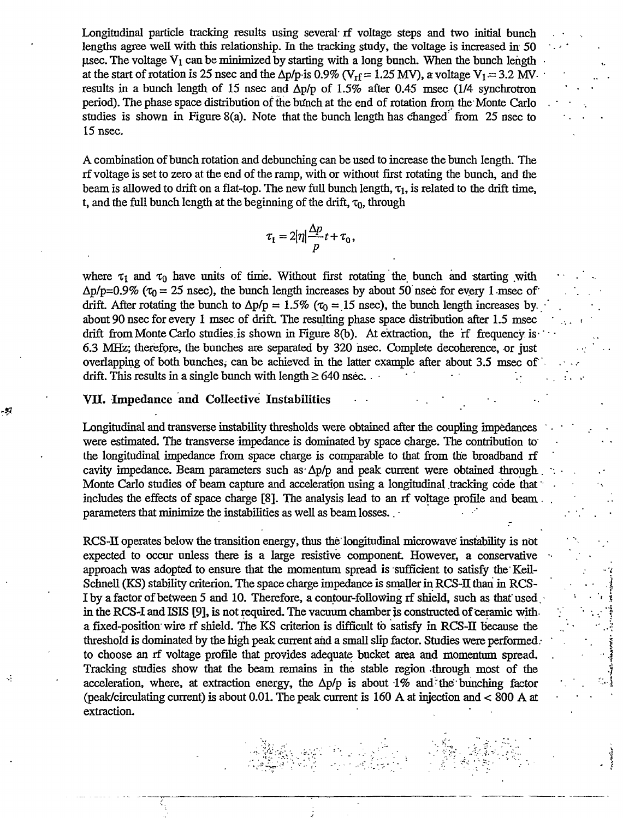Longitudinal particle tracking results using several- if voltage steps and two initial bunch lengths agree well with this relationship. In the tracking study, the voltage is increased in 50 usec. The voltage  $V_1$  can be minimized by starting with a long bunch. When the bunch length at the start of rotation is 25 nsec and the  $\Delta p/p$  is 0.9% (V<sub>rf</sub> = 1.25 MV), a voltage V<sub>1</sub> = 3.2 MVresults in a bunch length of 15 nsec and  $\Delta p/p$  of 1.5% after 0.45 msec (1/4 synchrotron period). The phase space distribution of the bunch at the end of rotation from the Monte Carlo studies is shown in Figure 8(a). Note that the bunch length has changed from 25 nsec to 15 nsec.

A combination of bunch rotation and debunching can be used to increase the bunch length. The rf voltage is set to zero at the end of the ramp, with or without first rotating the bunch, and the beam is allowed to drift on a flat-top. The new full bunch length,  $\tau_1$ , is related to the drift time, t, and the full bunch length at the beginning of the drift,  $\tau_0$ , through

$$
\tau_1 = 2|\eta| \frac{\Delta p}{p} t + \tau_0,
$$

where  $\tau_1$  and  $\tau_0$  have units of time. Without first rotating the bunch and starting with  $\Delta p / p = 0.9\%$  ( $\tau_0 = 25$  nsec), the bunch length increases by about 50 nsec for every 1 msec of drift. After rotating the bunch to  $\Delta p/p = 1.5\%$  ( $\tau_0 = 15$  nsec), the bunch length increases by. about 90 nsec for every 1 msec of drift. The resulting phase space distribution after 1.5 msec drift from Monte Carlo studies is shown in Figure 8(b). At extraction, the rf frequency is-6.3 MHz; therefore, the bunches are separated by 320 hsec. Complete decoherence, or just overlapping of both bunches, can be achieved in the latter example after about 3.5 msec of drift. This results in a single bunch with length  $\geq 640$  nsec.

 $\mathbf{r}$  $\ddot{\phantom{a}}$ 

### VII. Impedance and Collective Instabilities

÷.

Longitudinal and transverse instability thresholds were obtained after the coupling impedances • were estimated. The transverse impedance is dominated by space charge. The contribution to the longitudinal impedance from space charge is comparable to that from the broadband rf cavity impedance. Beam parameters such as  $\Delta p/p$  and peak current were obtained through. Monte Carlo studies of beam capture and acceleration using a longitudinal tracking code that includes the effects of space charge [8]. The analysis lead to an rf voltage profile and beam . parameters that minimize the instabilities as well as beam losses.

RCS-II operates below the transition energy, thus the longitudinal microwave instability is not expected to occur unless there is a large resistive component. However, a conservative approach was adopted to ensure that the momentum spread is sufficient to satisfy the Keil-Schnell (KS) stability criterion. The space charge impedance is smaller in RCS-H than in RCS-I by a factor of between 5 and 10. Therefore, a contour-following rf shield, such as that used. • in the RCS-I and ISIS [9], is not required. The vacuum chamber js constructed of ceramic with a fixed-position'wire rf shield. The KS criterion is difficult to satisfy in RCS-H because the threshold is dominated by the high peak current and a small slip factor. Studies were performed . to choose an rf voltage profile that provides adequate bucket area and momentum spread. . Tracking studies show that the beam remains in the stable region through most of the acceleration, where, at extraction energy, the  $\Delta p/p$  is about 1% and the bunching factor (peak/circulating current) is about 0.01. The peak current is 160 A at injection and < 800 A at extraction.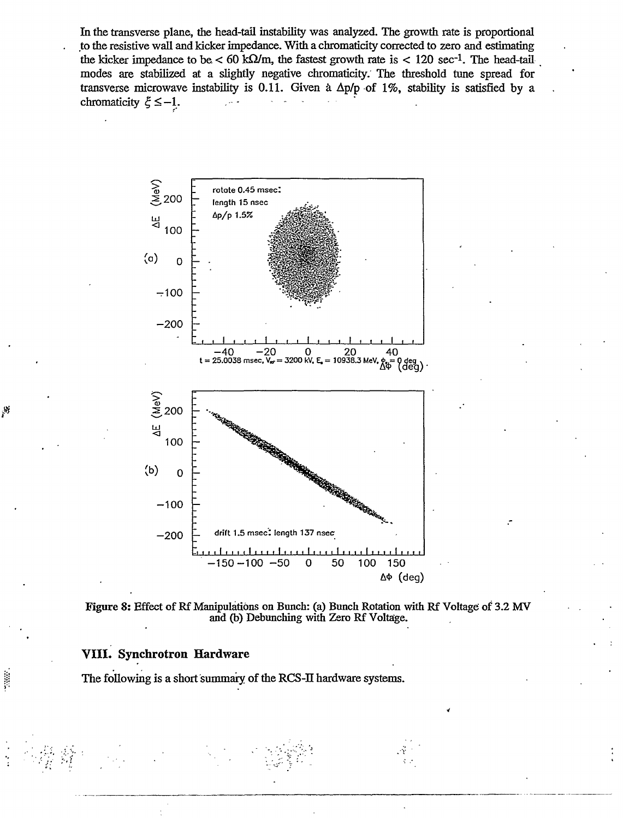In the transverse plane, the head-tail instability was analyzed. The growth rate is proportional to the resistive wall and kicker impedance. With a chromaticity corrected to zero and estimating the kicker impedance to be  $< 60 \text{ k}\Omega/\text{m}$ , the fastest growth rate is  $< 120 \text{ sec}^{-1}$ . The head-tail modes are stabilized at a slightly negative chromaticity. The threshold tune spread for transverse microwave instability is 0.11. Given a  $\Delta p/p$  of 1%, stability is satisfied by a chromaticity  $\xi \leq -1$ .





## **VIII. Synchrotron Hardware**

 $\mathcal{S}$ 

The following is a short summary of the RCS-II hardware systems.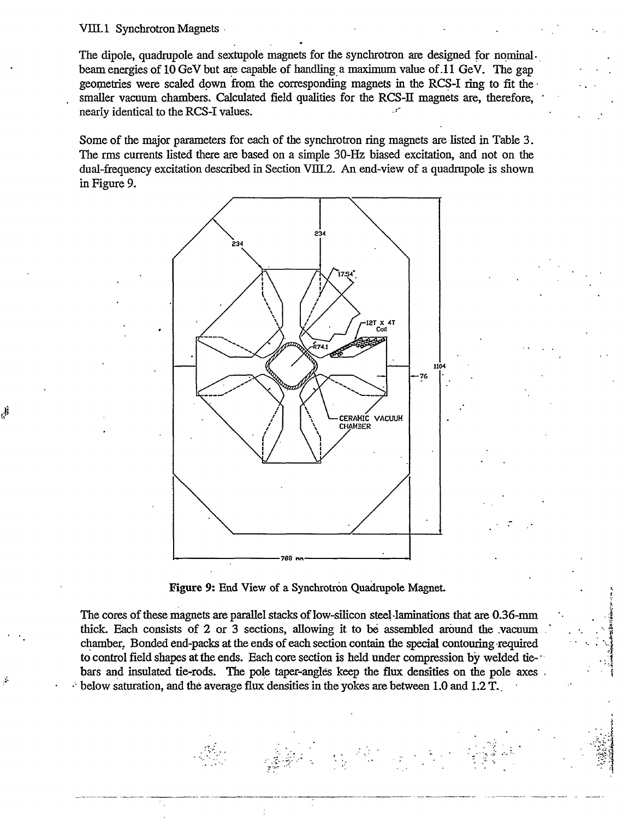#### VIII.1 Synchrotron Magnets

قل<br>ول

The dipole, quadrupole and sextupole magnets for the synchrotron are designed for nominalbeam energies of 10 GeV but are capable of handling a maximum value of .11 GeV. The gap geometries were scaled down from the corresponding magnets in the RCS-I ring to fit the • smaller vacuum chambers. Calculated field qualities for the RCS-II magnets are, therefore, nearly identical to the RCS-I values.

Some of the major parameters for each of the synchrotron ring magnets are listed in Table 3. The rms currents listed there are based on a simple 30-Hz biased excitation, and not on the dual-frequency excitation described in Section VIIL2. An end-view of a quadrupole is shown in Figure 9.



Figure 9: End View of a Synchrotron Quadrupole Magnet

The cores of these magnets are parallel stacks of low-silicon steel laminations that are 0.36-mm thick. Each consists of 2 or 3 sections, allowing it to be assembled around the .vacuum . chamber. Bonded end-packs at the ends of each section contain the special contouring -required to control field shapes at the ends. Each core section is held under compression by welded tie-" bars and insulated tie-rods. The pole taper-angles keep the flux densities on the pole axes . below saturation, and the average flux densities in the yokes are between 1.0 and 1.2 T.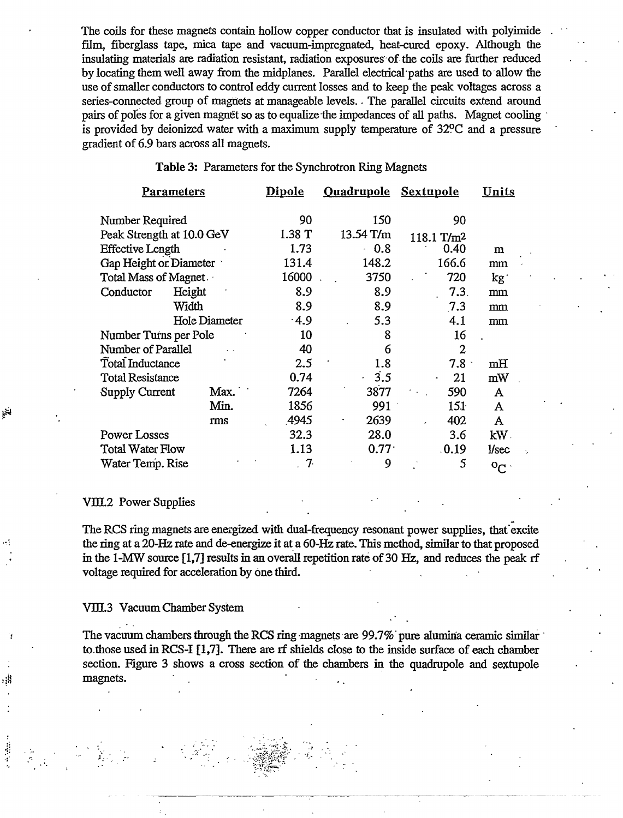The coils for these magnets contain hollow copper conductor that is insulated with polyimide film, fiberglass tape, mica tape and vacuum-impregnated, heat-cured epoxy. Although the insulating materials are radiation resistant, radiation exposures of the coils are further reduced by locating them well away from the midplanes. Parallel electrical paths are used to allow the use of smaller conductors to control eddy current losses and to keep the peak voltages across a series-connected group of magnets at manageable levels.. The parallel circuits extend around pairs of poles for a given magnet so as to equalize the impedances of all paths. Magnet cooling is provided by deionized water with a maximum supply temperature of 32?C and a pressure gradient of 6.9 bars across all magnets.

| <u>Parameters</u>         |               | <u>Dipole</u> | <u>Ouadrupole</u> | <b>Sextupole</b>       | <u>Units</u>  |
|---------------------------|---------------|---------------|-------------------|------------------------|---------------|
| Number Required           |               | 90            | 150               | 90                     |               |
| Peak Strength at 10.0 GeV |               | 1.38 T        | 13.54 T/m         | 118.1 T/m <sup>2</sup> |               |
| <b>Effective Length</b>   |               | 1.73          | 0.8               | 0.40                   | m             |
| Gap Height or Diameter    |               | 131.4         | 148.2             | 166.6                  | mm            |
| Total Mass of Magnet.     |               | 16000         | 3750              | 720                    | kg.           |
| Conductor                 | Height        | 8.9           | 8.9               | 7.3.                   | mm            |
|                           | Width         | 8.9           | 8.9               | 7.3                    | mm            |
|                           | Hole Diameter | .4.9          | 5.3               | 4.1                    | mm            |
| Number Turns per Pole     |               | 10            | 8                 | 16                     |               |
| Number of Parallel        |               | 40            | 6                 | $\mathbf{2}$           |               |
| Total Inductance          |               | 2.5           | 1.8               | 7.8 <sub>1</sub>       | mH            |
| <b>Total Resistance</b>   |               | 0.74          | 3.5<br>¥.         | 21<br>$\bullet$        | mW            |
| <b>Supply Current</b>     | Max.          | 7264          | 3877              | 590                    | A             |
|                           | Min.          | 1856          | 991               | 151                    | A             |
|                           | rms           | .4945         | 2639              | 402                    | A             |
| <b>Power Losses</b>       |               | 32.3          | 28.0              | 3.6                    | $kW$ .        |
| <b>Total Water Flow</b>   |               | 1.13          | 0.77 <sup>1</sup> | .0.19                  | <b>Vsec</b>   |
| Water Temp. Rise          |               | . 7.          | 9                 | 5                      | $\circ_{C}$ . |

Table 3: Parameters for the Synchrotron Ring Magnets

#### VIH2 Power Supplies

The RCS ring magnets are energized with dual-frequency resonant power supplies, that'excite the ring at a 20-Hz rate and de-energize it at a 60-Hz rate. This method, similar to that proposed in the 1-MW source [1,7] results in an overall repetition rate of 30 Hz, and reduces the peak rf voltage required for acceleration by one third.

#### VIIL3 Vacuum Chamber System

The vacuum chambers through the RCS ring magnets are 99.7% pure alumina ceramic similar to.those used in RCS-I [1,7]. There are rf shields close to the inside surface of each chamber section. Figure 3 shows a cross section of the chambers in the quadrupole and sextupole magnets.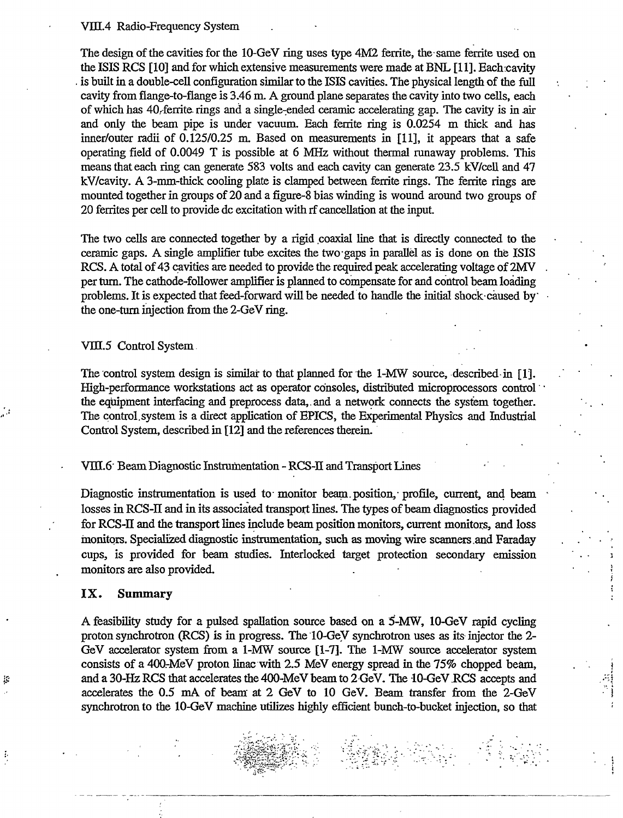#### VIII.4 Radio-Frequency System

The design of the cavities for the 10-GeV ring uses type 4M2 ferrite, the same ferrite used on the ISIS RCS [10] and for which extensive measurements were made at BNL [11]. Each cavity . is built in a double-cell configuration similar to the ISIS cavities. The physical length of the full cavity from flange-to-flange is 3.46 m. A ground plane separates the cavity into two cells, each of which has 40.-ferrite. rings and a single-ended ceramic accelerating gap. The cavity is in air and only the beam pipe is under vacuum. Each ferrite ring is 0.0254 m thick and has inner/outer radii of 0.125/0.25 m. Based on measurements in [11], it appears that a safe operating field of 0.0049 T is possible at 6 MHz without thermal runaway problems. This means that each ring can generate 583 volts and each cavity can generate 23.5 kV/cell and 47 kV/cavity. A 3-mm-thick cooling plate is clamped between ferrite rings. The ferrite rings are mounted together in groups of 20 and a figure-8 bias winding is wound around two groups of 20 ferrites per cell to provide dc excitation with rf cancellation at the input

The two cells are connected together by a rigid coaxial line that is directly connected to the ceramic gaps. A single amplifier tube excites the two gaps in parallel as is done on the ISIS RCS. A total of 43 cavities are needed to provide the required peak accelerating voltage of 2MV per turn. The cathode-follower amplifier is planned to compensate for and control beam loading problems. It is expected that feed-forward will be needed to handle the initial shock-caused by the one-turn injection from the 2-GeV ring.

VIII.5 Control System.

The control system design is similar to that planned for the 1-MW source, described in [1], High-performance workstations act as operator consoles, distributed microprocessors control the equipment interfacing and preprocess data,.and a network connects the system together. The control.system is a direct application of EPICS, the Experimental Physics and Industrial Control System, described in [12] and the references therein.

Vm.6' Beam Diagnostic Instrumentation - RCS-II and Transport Lines

Diagnostic instrumentation is used to monitor beam position, profile, current, and beam losses in RCS-II and in its associated transport lines. The types of beam diagnostics provided for RCS-II and the transport lines include beam position monitors, current monitors, and loss monitors. Specialized diagnostic instrumentation, such as moving wire scanners .and Faraday cups, is provided for beam studies. Interlocked target protection secondary emission monitors are also provided.

#### IX. Summary

条

ţ,

A feasibility study for a pulsed spallation source based on a 5-MW, 10-GeV rapid cycling proton synchrotron (RCS) is in progress. The 10-GeV synchrotron uses as its injector the 2- GeV accelerator system from a 1-MW source [1-7]. The 1-MW source accelerator system consists of a 400-MeV proton linac with 2.5 MeV energy spread in the 75% chopped beam, and a 30-Hz RCS that accelerates the 400-MeV beam to 2 GeV. The 10-GeV .RCS accepts and accelerates the 0.5 mA of beam at 2 GeV to 10 GeV. Beam transfer from the 2-GeV synchrotron to the 10-GeV machine utilizes highly efficient bunch-to-bucket injection, so that